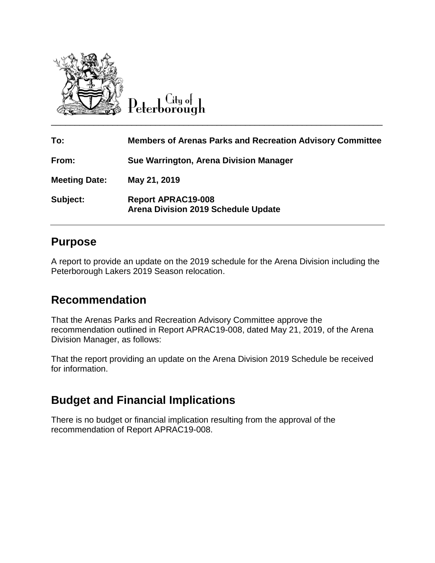

 $C$ ity o $\vdash$ 

| To:                  | <b>Members of Arenas Parks and Recreation Advisory Committee</b>        |
|----------------------|-------------------------------------------------------------------------|
| From:                | Sue Warrington, Arena Division Manager                                  |
| <b>Meeting Date:</b> | May 21, 2019                                                            |
| Subject:             | <b>Report APRAC19-008</b><br><b>Arena Division 2019 Schedule Update</b> |

### **Purpose**

A report to provide an update on the 2019 schedule for the Arena Division including the Peterborough Lakers 2019 Season relocation.

## **Recommendation**

That the Arenas Parks and Recreation Advisory Committee approve the recommendation outlined in Report APRAC19-008, dated May 21, 2019, of the Arena Division Manager, as follows:

That the report providing an update on the Arena Division 2019 Schedule be received for information.

# **Budget and Financial Implications**

There is no budget or financial implication resulting from the approval of the recommendation of Report APRAC19-008.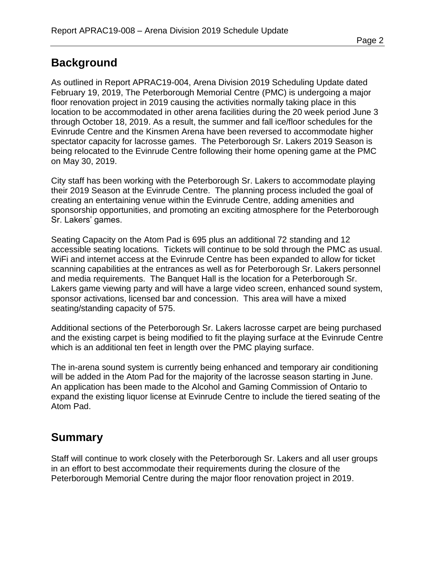### **Background**

As outlined in Report APRAC19-004, Arena Division 2019 Scheduling Update dated February 19, 2019, The Peterborough Memorial Centre (PMC) is undergoing a major floor renovation project in 2019 causing the activities normally taking place in this location to be accommodated in other arena facilities during the 20 week period June 3 through October 18, 2019. As a result, the summer and fall ice/floor schedules for the Evinrude Centre and the Kinsmen Arena have been reversed to accommodate higher spectator capacity for lacrosse games. The Peterborough Sr. Lakers 2019 Season is being relocated to the Evinrude Centre following their home opening game at the PMC on May 30, 2019.

City staff has been working with the Peterborough Sr. Lakers to accommodate playing their 2019 Season at the Evinrude Centre. The planning process included the goal of creating an entertaining venue within the Evinrude Centre, adding amenities and sponsorship opportunities, and promoting an exciting atmosphere for the Peterborough Sr. Lakers' games.

Seating Capacity on the Atom Pad is 695 plus an additional 72 standing and 12 accessible seating locations. Tickets will continue to be sold through the PMC as usual. WiFi and internet access at the Evinrude Centre has been expanded to allow for ticket scanning capabilities at the entrances as well as for Peterborough Sr. Lakers personnel and media requirements. The Banquet Hall is the location for a Peterborough Sr. Lakers game viewing party and will have a large video screen, enhanced sound system, sponsor activations, licensed bar and concession. This area will have a mixed seating/standing capacity of 575.

Additional sections of the Peterborough Sr. Lakers lacrosse carpet are being purchased and the existing carpet is being modified to fit the playing surface at the Evinrude Centre which is an additional ten feet in length over the PMC playing surface.

The in-arena sound system is currently being enhanced and temporary air conditioning will be added in the Atom Pad for the majority of the lacrosse season starting in June. An application has been made to the Alcohol and Gaming Commission of Ontario to expand the existing liquor license at Evinrude Centre to include the tiered seating of the Atom Pad.

#### **Summary**

Staff will continue to work closely with the Peterborough Sr. Lakers and all user groups in an effort to best accommodate their requirements during the closure of the Peterborough Memorial Centre during the major floor renovation project in 2019.